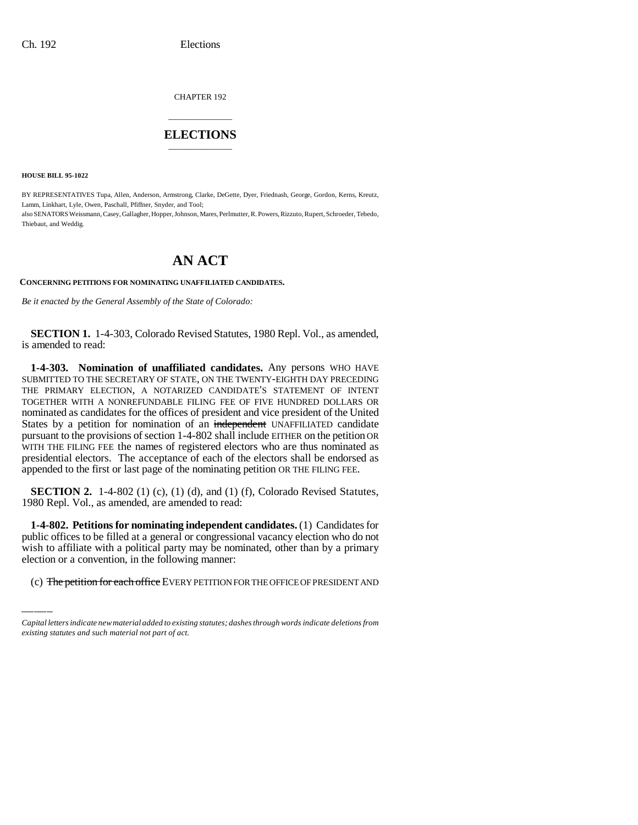CHAPTER 192

## \_\_\_\_\_\_\_\_\_\_\_\_\_\_\_ **ELECTIONS** \_\_\_\_\_\_\_\_\_\_\_\_\_\_\_

**HOUSE BILL 95-1022**

BY REPRESENTATIVES Tupa, Allen, Anderson, Armstrong, Clarke, DeGette, Dyer, Friednash, George, Gordon, Kerns, Kreutz, Lamm, Linkhart, Lyle, Owen, Paschall, Pfiffner, Snyder, and Tool; also SENATORS Weissmann, Casey, Gallagher, Hopper, Johnson, Mares, Perlmutter, R. Powers, Rizzuto, Rupert, Schroeder, Tebedo, Thiebaut, and Weddig.

# **AN ACT**

#### **CONCERNING PETITIONS FOR NOMINATING UNAFFILIATED CANDIDATES.**

*Be it enacted by the General Assembly of the State of Colorado:*

**SECTION 1.** 1-4-303, Colorado Revised Statutes, 1980 Repl. Vol., as amended, is amended to read:

**1-4-303. Nomination of unaffiliated candidates.** Any persons WHO HAVE SUBMITTED TO THE SECRETARY OF STATE, ON THE TWENTY-EIGHTH DAY PRECEDING THE PRIMARY ELECTION, A NOTARIZED CANDIDATE'S STATEMENT OF INTENT TOGETHER WITH A NONREFUNDABLE FILING FEE OF FIVE HUNDRED DOLLARS OR nominated as candidates for the offices of president and vice president of the United States by a petition for nomination of an independent UNAFFILIATED candidate pursuant to the provisions of section 1-4-802 shall include EITHER on the petition OR WITH THE FILING FEE the names of registered electors who are thus nominated as presidential electors. The acceptance of each of the electors shall be endorsed as appended to the first or last page of the nominating petition OR THE FILING FEE.

**SECTION 2.** 1-4-802 (1) (c), (1) (d), and (1) (f), Colorado Revised Statutes, 1980 Repl. Vol., as amended, are amended to read:

public offices to be filled at a general or congressional vacancy election who do not **1-4-802. Petitions for nominating independent candidates.** (1) Candidates for wish to affiliate with a political party may be nominated, other than by a primary election or a convention, in the following manner:

(c) The petition for each office EVERY PETITION FOR THE OFFICE OF PRESIDENT AND

*Capital letters indicate new material added to existing statutes; dashes through words indicate deletions from existing statutes and such material not part of act.*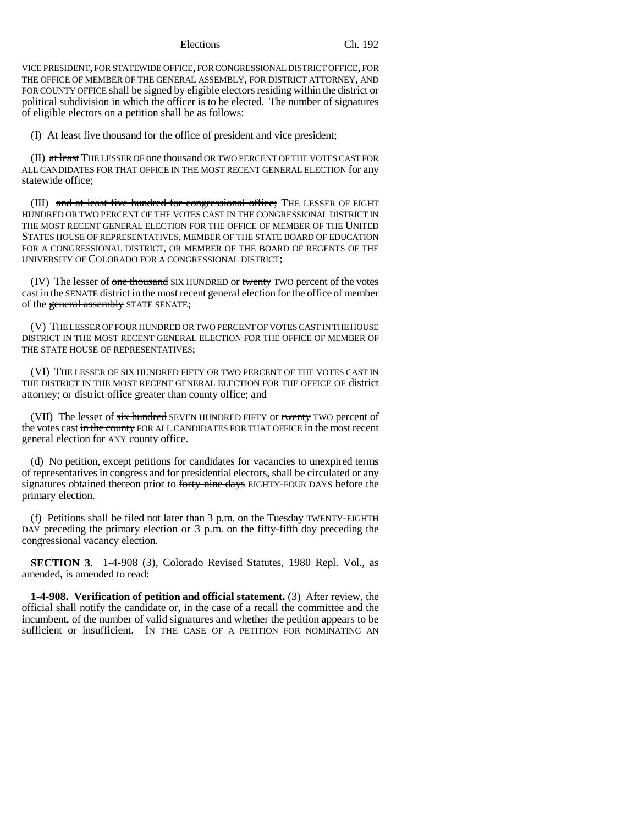Elections Ch. 192

VICE PRESIDENT, FOR STATEWIDE OFFICE, FOR CONGRESSIONAL DISTRICT OFFICE, FOR THE OFFICE OF MEMBER OF THE GENERAL ASSEMBLY, FOR DISTRICT ATTORNEY, AND FOR COUNTY OFFICE shall be signed by eligible electors residing within the district or political subdivision in which the officer is to be elected. The number of signatures of eligible electors on a petition shall be as follows:

(I) At least five thousand for the office of president and vice president;

(II) at least THE LESSER OF one thousand OR TWO PERCENT OF THE VOTES CAST FOR ALL CANDIDATES FOR THAT OFFICE IN THE MOST RECENT GENERAL ELECTION for any statewide office;

(III) and at least five hundred for congressional office; THE LESSER OF EIGHT HUNDRED OR TWO PERCENT OF THE VOTES CAST IN THE CONGRESSIONAL DISTRICT IN THE MOST RECENT GENERAL ELECTION FOR THE OFFICE OF MEMBER OF THE UNITED STATES HOUSE OF REPRESENTATIVES, MEMBER OF THE STATE BOARD OF EDUCATION FOR A CONGRESSIONAL DISTRICT, OR MEMBER OF THE BOARD OF REGENTS OF THE UNIVERSITY OF COLORADO FOR A CONGRESSIONAL DISTRICT;

(IV) The lesser of one thousand SIX HUNDRED or twenty TWO percent of the votes cast in the SENATE district in the most recent general election for the office of member of the general assembly STATE SENATE;

(V) THE LESSER OF FOUR HUNDRED OR TWO PERCENT OF VOTES CAST IN THE HOUSE DISTRICT IN THE MOST RECENT GENERAL ELECTION FOR THE OFFICE OF MEMBER OF THE STATE HOUSE OF REPRESENTATIVES;

(VI) THE LESSER OF SIX HUNDRED FIFTY OR TWO PERCENT OF THE VOTES CAST IN THE DISTRICT IN THE MOST RECENT GENERAL ELECTION FOR THE OFFICE OF district attorney; or district office greater than county office; and

(VII) The lesser of six hundred SEVEN HUNDRED FIFTY or twenty TWO percent of the votes cast in the county FOR ALL CANDIDATES FOR THAT OFFICE in the most recent general election for ANY county office.

(d) No petition, except petitions for candidates for vacancies to unexpired terms of representatives in congress and for presidential electors, shall be circulated or any signatures obtained thereon prior to forty-nine days EIGHTY-FOUR DAYS before the primary election.

(f) Petitions shall be filed not later than  $3$  p.m. on the  $F$ uesday TWENTY-EIGHTH DAY preceding the primary election or 3 p.m. on the fifty-fifth day preceding the congressional vacancy election.

**SECTION 3.** 1-4-908 (3), Colorado Revised Statutes, 1980 Repl. Vol., as amended, is amended to read:

**1-4-908. Verification of petition and official statement.** (3) After review, the official shall notify the candidate or, in the case of a recall the committee and the incumbent, of the number of valid signatures and whether the petition appears to be sufficient or insufficient. IN THE CASE OF A PETITION FOR NOMINATING AN